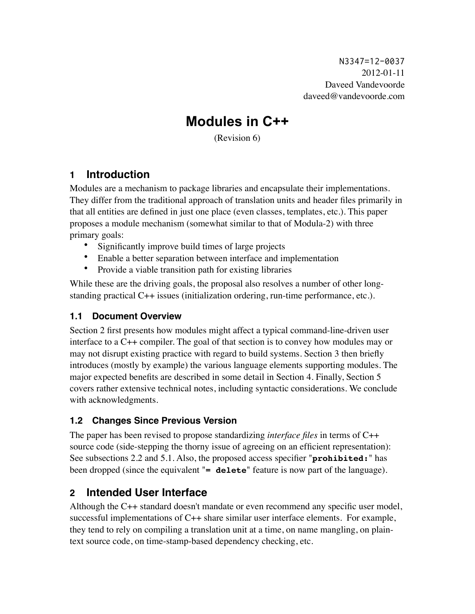N3347=12-0037 2012-01-11 Daveed Vandevoorde daveed@vandevoorde.com

# **Modules in C++**

(Revision 6)

# **1 Introduction**

Modules are a mechanism to package libraries and encapsulate their implementations. They differ from the traditional approach of translation units and header files primarily in that all entities are defined in just one place (even classes, templates, etc.). This paper proposes a module mechanism (somewhat similar to that of Modula-2) with three primary goals:

- Significantly improve build times of large projects
- Enable a better separation between interface and implementation
- Provide a viable transition path for existing libraries

While these are the driving goals, the proposal also resolves a number of other longstanding practical C++ issues (initialization ordering, run-time performance, etc.).

### **1.1 Document Overview**

Section [2](#page-0-0) first presents how modules might affect a typical command-line-driven user interface to a C++ compiler. The goal of that section is to convey how modules may or may not disrupt existing practice with regard to build systems. Section [3](#page-4-0) then briefly introduces (mostly by example) the various language elements supporting modules. The major expected benefits are described in some detail in Section [4](#page-10-0). Finally, Section [5](#page-13-0) covers rather extensive technical notes, including syntactic considerations. We conclude with acknowledgments.

### **1.2 Changes Since Previous Version**

The paper has been revised to propose standardizing *interface files* in terms of C++ source code (side-stepping the thorny issue of agreeing on an efficient representation): See subsections 2.2 and 5.1. Also, the proposed access specifier "**prohibited:**" has been dropped (since the equivalent "**= delete**" feature is now part of the language).

# <span id="page-0-0"></span>**2 Intended User Interface**

Although the C++ standard doesn't mandate or even recommend any specific user model, successful implementations of C++ share similar user interface elements. For example, they tend to rely on compiling a translation unit at a time, on name mangling, on plaintext source code, on time-stamp-based dependency checking, etc.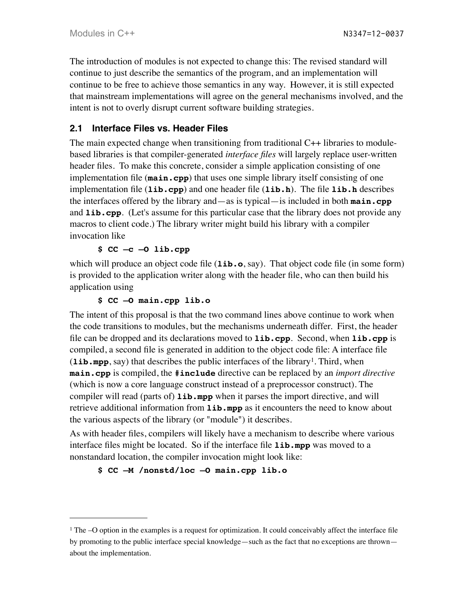The introduction of modules is not expected to change this: The revised standard will continue to just describe the semantics of the program, and an implementation will continue to be free to achieve those semantics in any way. However, it is still expected that mainstream implementations will agree on the general mechanisms involved, and the intent is not to overly disrupt current software building strategies.

### **2.1 Interface Files vs. Header Files**

The main expected change when transitioning from traditional C++ libraries to modulebased libraries is that compiler-generated *interface files* will largely replace user-written header files. To make this concrete, consider a simple application consisting of one implementation file (**main.cpp**) that uses one simple library itself consisting of one implementation file (**lib.cpp**) and one header file (**lib.h**). The file **lib.h** describes the interfaces offered by the library and—as is typical—is included in both **main.cpp** and **lib.cpp**. (Let's assume for this particular case that the library does not provide any macros to client code.) The library writer might build his library with a compiler invocation like

**\$ CC –c –O lib.cpp**

which will produce an object code file (**lib.o**, say). That object code file (in some form) is provided to the application writer along with the header file, who can then build his application using

#### **\$ CC –O main.cpp lib.o**

The intent of this proposal is that the two command lines above continue to work when the code transitions to modules, but the mechanisms underneath differ. First, the header file can be dropped and its declarations moved to **lib.cpp**. Second, when **lib.cpp** is compiled, a second file is generated in addition to the object code file: A interface file  $(i$ **ib.** mpp, say) that describes the public interfaces of the library<sup>1</sup>. Third, when **main.cpp** is compiled, the **#include** directive can be replaced by an *import directive* (which is now a core language construct instead of a preprocessor construct). The compiler will read (parts of) **lib.mpp** when it parses the import directive, and will retrieve additional information from **lib.mpp** as it encounters the need to know about the various aspects of the library (or "module") it describes.

As with header files, compilers will likely have a mechanism to describe where various interface files might be located. So if the interface file **lib.mpp** was moved to a nonstandard location, the compiler invocation might look like:

#### **\$ CC –M /nonstd/loc –O main.cpp lib.o**

<span id="page-1-0"></span> $1$  The  $-$ O option in the examples is a request for optimization. It could conceivably affect the interface file by promoting to the public interface special knowledge—such as the fact that no exceptions are thrown about the implementation.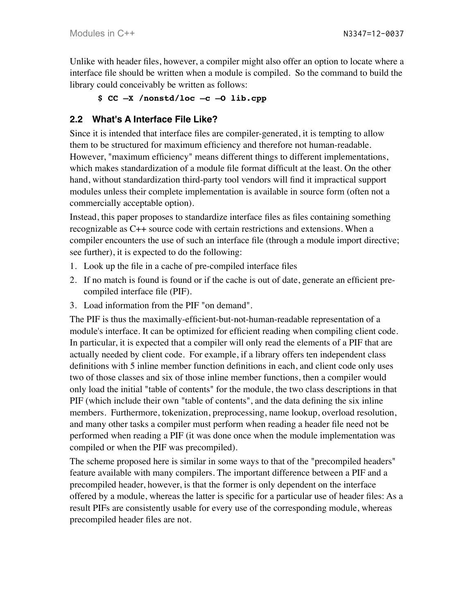Unlike with header files, however, a compiler might also offer an option to locate where a interface file should be written when a module is compiled. So the command to build the library could conceivably be written as follows:

**\$ CC –X /nonstd/loc –c –O lib.cpp**

### **2.2 What's A Interface File Like?**

Since it is intended that interface files are compiler-generated, it is tempting to allow them to be structured for maximum efficiency and therefore not human-readable. However, "maximum efficiency" means different things to different implementations, which makes standardization of a module file format difficult at the least. On the other hand, without standardization third-party tool vendors will find it impractical support modules unless their complete implementation is available in source form (often not a commercially acceptable option).

Instead, this paper proposes to standardize interface files as files containing something recognizable as C++ source code with certain restrictions and extensions. When a compiler encounters the use of such an interface file (through a module import directive; see further), it is expected to do the following:

- 1. Look up the file in a cache of pre-compiled interface files
- 2. If no match is found is found or if the cache is out of date, generate an efficient precompiled interface file (PIF).
- 3. Load information from the PIF "on demand".

The PIF is thus the maximally-efficient-but-not-human-readable representation of a module's interface. It can be optimized for efficient reading when compiling client code. In particular, it is expected that a compiler will only read the elements of a PIF that are actually needed by client code. For example, if a library offers ten independent class definitions with 5 inline member function definitions in each, and client code only uses two of those classes and six of those inline member functions, then a compiler would only load the initial "table of contents" for the module, the two class descriptions in that PIF (which include their own "table of contents", and the data defining the six inline members. Furthermore, tokenization, preprocessing, name lookup, overload resolution, and many other tasks a compiler must perform when reading a header file need not be performed when reading a PIF (it was done once when the module implementation was compiled or when the PIF was precompiled).

The scheme proposed here is similar in some ways to that of the "precompiled headers" feature available with many compilers. The important difference between a PIF and a precompiled header, however, is that the former is only dependent on the interface offered by a module, whereas the latter is specific for a particular use of header files: As a result PIFs are consistently usable for every use of the corresponding module, whereas precompiled header files are not.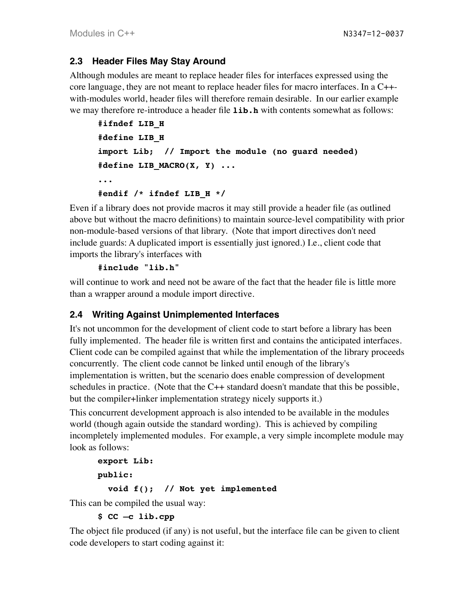### **2.3 Header Files May Stay Around**

Although modules are meant to replace header files for interfaces expressed using the core language, they are not meant to replace header files for macro interfaces. In a C++ with-modules world, header files will therefore remain desirable. In our earlier example we may therefore re-introduce a header file **lib.h** with contents somewhat as follows:

```
#ifndef LIB_H
#define LIB_H
import Lib; // Import the module (no guard needed)
#define LIB_MACRO(X, Y) ...
...
#endif /* ifndef LIB_H */
```
Even if a library does not provide macros it may still provide a header file (as outlined above but without the macro definitions) to maintain source-level compatibility with prior non-module-based versions of that library. (Note that import directives don't need include guards: A duplicated import is essentially just ignored.) I.e., client code that imports the library's interfaces with

#### **#include "lib.h"**

will continue to work and need not be aware of the fact that the header file is little more than a wrapper around a module import directive.

### **2.4 Writing Against Unimplemented Interfaces**

It's not uncommon for the development of client code to start before a library has been fully implemented. The header file is written first and contains the anticipated interfaces. Client code can be compiled against that while the implementation of the library proceeds concurrently. The client code cannot be linked until enough of the library's implementation is written, but the scenario does enable compression of development schedules in practice. (Note that the  $C_{++}$  standard doesn't mandate that this be possible, but the compiler+linker implementation strategy nicely supports it.)

This concurrent development approach is also intended to be available in the modules world (though again outside the standard wording). This is achieved by compiling incompletely implemented modules. For example, a very simple incomplete module may look as follows:

```
export Lib:
public:
   void f(); // Not yet implemented
```
This can be compiled the usual way:

**\$ CC –c lib.cpp**

The object file produced (if any) is not useful, but the interface file can be given to client code developers to start coding against it: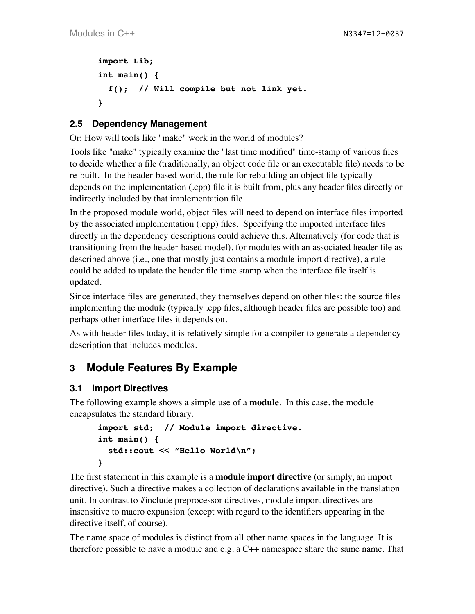```
import Lib;
int main() {
   f(); // Will compile but not link yet.
}
```
# **2.5 Dependency Management**

Or: How will tools like "make" work in the world of modules?

Tools like "make" typically examine the "last time modified" time-stamp of various files to decide whether a file (traditionally, an object code file or an executable file) needs to be re-built. In the header-based world, the rule for rebuilding an object file typically depends on the implementation (.cpp) file it is built from, plus any header files directly or indirectly included by that implementation file.

In the proposed module world, object files will need to depend on interface files imported by the associated implementation (.cpp) files. Specifying the imported interface files directly in the dependency descriptions could achieve this. Alternatively (for code that is transitioning from the header-based model), for modules with an associated header file as described above (i.e., one that mostly just contains a module import directive), a rule could be added to update the header file time stamp when the interface file itself is updated.

Since interface files are generated, they themselves depend on other files: the source files implementing the module (typically .cpp files, although header files are possible too) and perhaps other interface files it depends on.

As with header files today, it is relatively simple for a compiler to generate a dependency description that includes modules.

# <span id="page-4-0"></span>**3 Module Features By Example**

### **3.1 Import Directives**

The following example shows a simple use of a **module**. In this case, the module encapsulates the standard library.

```
import std; // Module import directive.
int main() {
  std::cout << "Hello World\n";
}
```
The first statement in this example is a **module import directive** (or simply, an import directive). Such a directive makes a collection of declarations available in the translation unit. In contrast to #include preprocessor directives, module import directives are insensitive to macro expansion (except with regard to the identifiers appearing in the directive itself, of course).

The name space of modules is distinct from all other name spaces in the language. It is therefore possible to have a module and e.g. a C++ namespace share the same name. That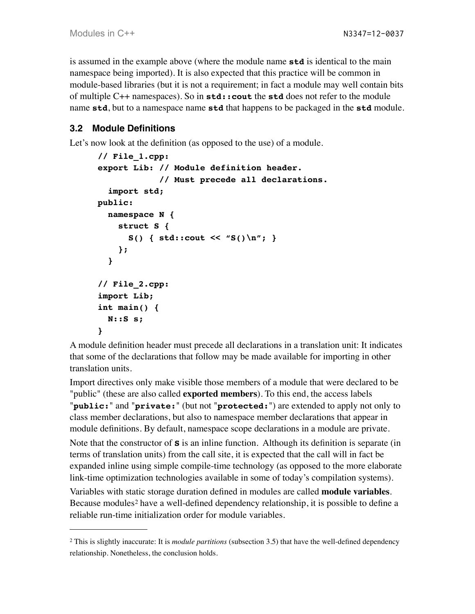is assumed in the example above (where the module name **std** is identical to the main namespace being imported). It is also expected that this practice will be common in module-based libraries (but it is not a requirement; in fact a module may well contain bits of multiple C++ namespaces). So in **std::cout** the **std** does not refer to the module name **std**, but to a namespace name **std** that happens to be packaged in the **std** module.

# **3.2 Module Definitions**

Let's now look at the definition (as opposed to the use) of a module.

```
// File_1.cpp:
export Lib: // Module definition header.
              // Must precede all declarations.
   import std;
public:
   namespace N {
     struct S {
       S() { std::cout << "S()\n"; }
     };
   }
// File_2.cpp:
import Lib;
int main() {
   N::S s;
}
```
A module definition header must precede all declarations in a translation unit: It indicates that some of the declarations that follow may be made available for importing in other translation units.

Import directives only make visible those members of a module that were declared to be "public" (these are also called **exported members**). To this end, the access labels "**public:**" and "**private:**" (but not "**protected:**") are extended to apply not only to class member declarations, but also to namespace member declarations that appear in module definitions. By default, namespace scope declarations in a module are private. Note that the constructor of **S** is an inline function. Although its definition is separate (in terms of translation units) from the call site, it is expected that the call will in fact be expanded inline using simple compile-time technology (as opposed to the more elaborate link-time optimization technologies available in some of today's compilation systems).

Variables with static storage duration defined in modules are called **module variables**. Because modules<sup>2</sup> have a well-defined dependency relationship, it is possible to define a reliable run-time initialization order for module variables.

<span id="page-5-0"></span><sup>2</sup> This is slightly inaccurate: It is *module partitions* (subsection [3.5\)](#page-7-0) that have the well-defined dependency relationship. Nonetheless, the conclusion holds.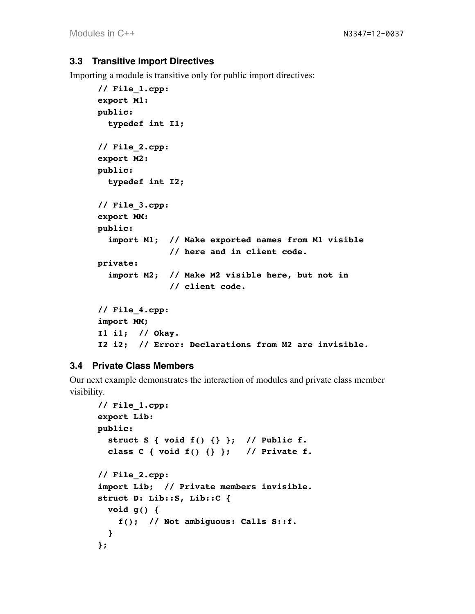#### **3.3 Transitive Import Directives**

Importing a module is transitive only for public import directives:

```
// File_1.cpp:
export M1:
public:
  typedef int I1;
// File_2.cpp:
export M2:
public:
   typedef int I2;
// File_3.cpp:
export MM:
public:
   import M1; // Make exported names from M1 visible 
               // here and in client code.
private:
   import M2; // Make M2 visible here, but not in
               // client code.
// File_4.cpp:
import MM;
I1 i1; // Okay.
I2 i2; // Error: Declarations from M2 are invisible.
```
#### **3.4 Private Class Members**

Our next example demonstrates the interaction of modules and private class member visibility.

```
// File_1.cpp:
export Lib:
public:
   struct S { void f() {} }; // Public f.
   class C { void f() {} }; // Private f.
// File_2.cpp:
import Lib; // Private members invisible.
struct D: Lib::S, Lib::C {
   void g() {
     f(); // Not ambiguous: Calls S::f.
   }
};
```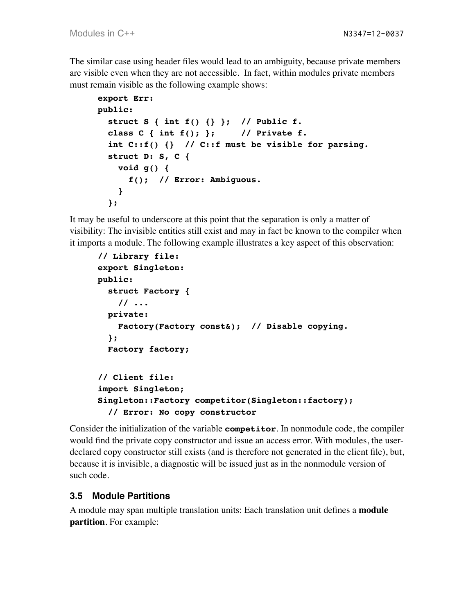The similar case using header files would lead to an ambiguity, because private members are visible even when they are not accessible. In fact, within modules private members must remain visible as the following example shows:

```
export Err:
public:
   struct S { int f() {} }; // Public f.
   class C { int f(); }; // Private f.
   int C::f() {} // C::f must be visible for parsing.
   struct D: S, C {
     void g() {
       f(); // Error: Ambiguous.
     }
   };
```
It may be useful to underscore at this point that the separation is only a matter of visibility: The invisible entities still exist and may in fact be known to the compiler when it imports a module. The following example illustrates a key aspect of this observation:

```
// Library file:
export Singleton:
public:
   struct Factory {
     // ...
   private:
     Factory(Factory const&); // Disable copying.
   };
   Factory factory;
// Client file:
import Singleton;
Singleton::Factory competitor(Singleton::factory);
   // Error: No copy constructor
```
Consider the initialization of the variable **competitor**. In nonmodule code, the compiler would find the private copy constructor and issue an access error. With modules, the userdeclared copy constructor still exists (and is therefore not generated in the client file), but, because it is invisible, a diagnostic will be issued just as in the nonmodule version of such code.

### <span id="page-7-0"></span>**3.5 Module Partitions**

A module may span multiple translation units: Each translation unit defines a **module partition**. For example: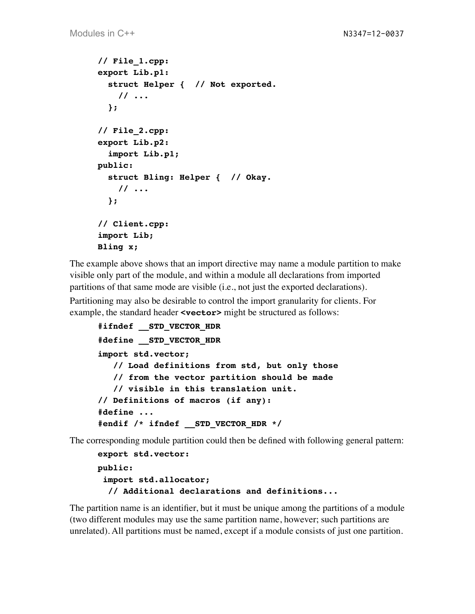```
// File_1.cpp:
export Lib.p1:
   struct Helper { // Not exported.
     // ...
   };
// File_2.cpp:
export Lib.p2:
   import Lib.p1;
public:
   struct Bling: Helper { // Okay.
     // ...
   };
// Client.cpp:
import Lib;
Bling x;
```
The example above shows that an import directive may name a module partition to make visible only part of the module, and within a module all declarations from imported partitions of that same mode are visible (i.e., not just the exported declarations).

Partitioning may also be desirable to control the import granularity for clients. For example, the standard header *svector* might be structured as follows:

```
#ifndef __STD_VECTOR_HDR
#define __STD_VECTOR_HDR
import std.vector;
    // Load definitions from std, but only those
    // from the vector partition should be made
    // visible in this translation unit.
// Definitions of macros (if any):
#define ...
#endif /* ifndef __STD_VECTOR_HDR */
```
The corresponding module partition could then be defined with following general pattern:

```
export std.vector:
public:
  import std.allocator;
   // Additional declarations and definitions...
```
The partition name is an identifier, but it must be unique among the partitions of a module (two different modules may use the same partition name, however; such partitions are unrelated). All partitions must be named, except if a module consists of just one partition.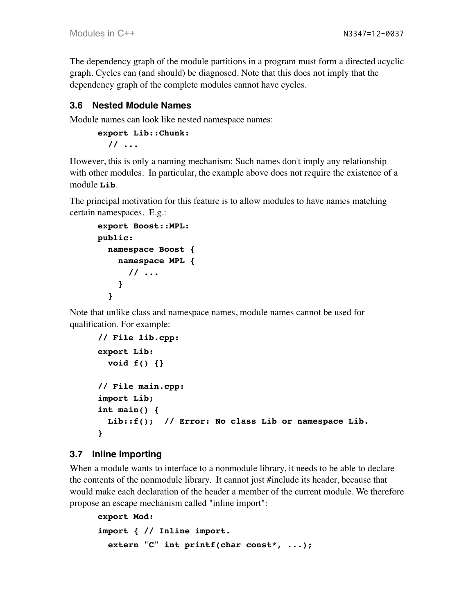The dependency graph of the module partitions in a program must form a directed acyclic graph. Cycles can (and should) be diagnosed. Note that this does not imply that the dependency graph of the complete modules cannot have cycles.

### **3.6 Nested Module Names**

Module names can look like nested namespace names:

```
export Lib::Chunk:
   // ...
```
However, this is only a naming mechanism: Such names don't imply any relationship with other modules. In particular, the example above does not require the existence of a module **Lib**.

The principal motivation for this feature is to allow modules to have names matching certain namespaces. E.g.:

```
export Boost::MPL:
public:
   namespace Boost {
     namespace MPL {
       // ...
     }
   }
```
Note that unlike class and namespace names, module names cannot be used for qualification. For example:

```
// File lib.cpp:
export Lib:
   void f() {}
// File main.cpp:
import Lib;
int main() {
   Lib::f(); // Error: No class Lib or namespace Lib.
}
```
#### **3.7 Inline Importing**

When a module wants to interface to a nonmodule library, it needs to be able to declare the contents of the nonmodule library. It cannot just #include its header, because that would make each declaration of the header a member of the current module. We therefore propose an escape mechanism called "inline import":

```
export Mod:
import { // Inline import.
   extern "C" int printf(char const*, ...);
```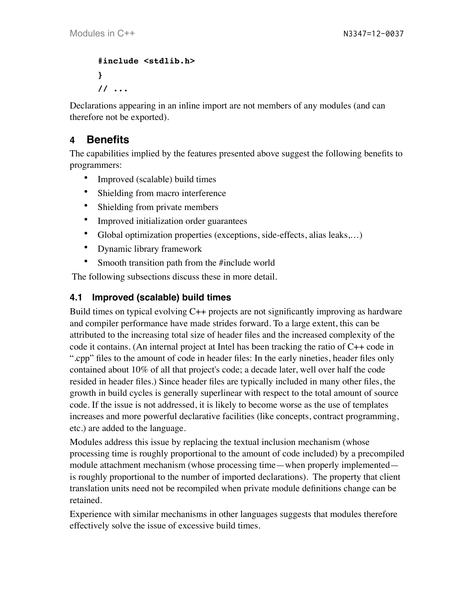```
#include <stdlib.h>
}
// ...
```
Declarations appearing in an inline import are not members of any modules (and can therefore not be exported).

# <span id="page-10-0"></span>**4 Benefits**

The capabilities implied by the features presented above suggest the following benefits to programmers:

- Improved (scalable) build times
- Shielding from macro interference
- Shielding from private members
- Improved initialization order guarantees
- Global optimization properties (exceptions, side-effects, alias leaks,…)
- Dynamic library framework
- Smooth transition path from the #include world

The following subsections discuss these in more detail.

# **4.1 Improved (scalable) build times**

Build times on typical evolving C++ projects are not significantly improving as hardware and compiler performance have made strides forward. To a large extent, this can be attributed to the increasing total size of header files and the increased complexity of the code it contains. (An internal project at Intel has been tracking the ratio of C++ code in ".cpp" files to the amount of code in header files: In the early nineties, header files only contained about 10% of all that project's code; a decade later, well over half the code resided in header files.) Since header files are typically included in many other files, the growth in build cycles is generally superlinear with respect to the total amount of source code. If the issue is not addressed, it is likely to become worse as the use of templates increases and more powerful declarative facilities (like concepts, contract programming, etc.) are added to the language.

Modules address this issue by replacing the textual inclusion mechanism (whose processing time is roughly proportional to the amount of code included) by a precompiled module attachment mechanism (whose processing time—when properly implemented is roughly proportional to the number of imported declarations). The property that client translation units need not be recompiled when private module definitions change can be retained.

Experience with similar mechanisms in other languages suggests that modules therefore effectively solve the issue of excessive build times.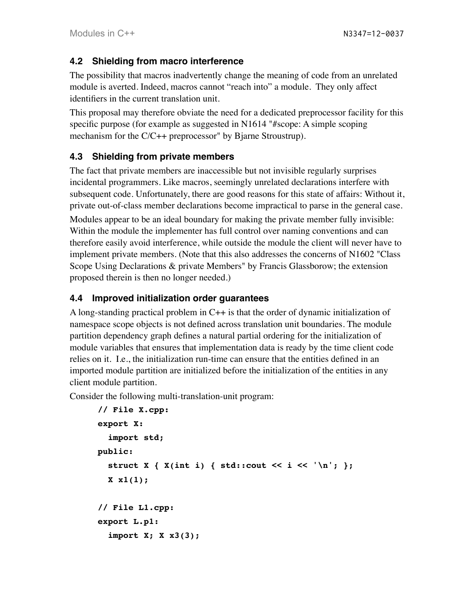### **4.2 Shielding from macro interference**

The possibility that macros inadvertently change the meaning of code from an unrelated module is averted. Indeed, macros cannot "reach into" a module. They only affect identifiers in the current translation unit.

This proposal may therefore obviate the need for a dedicated preprocessor facility for this specific purpose (for example as suggested in N1614 "#scope: A simple scoping mechanism for the C/C++ preprocessor" by Bjarne Stroustrup).

# **4.3 Shielding from private members**

The fact that private members are inaccessible but not invisible regularly surprises incidental programmers. Like macros, seemingly unrelated declarations interfere with subsequent code. Unfortunately, there are good reasons for this state of affairs: Without it, private out-of-class member declarations become impractical to parse in the general case.

Modules appear to be an ideal boundary for making the private member fully invisible: Within the module the implementer has full control over naming conventions and can therefore easily avoid interference, while outside the module the client will never have to implement private members. (Note that this also addresses the concerns of N1602 "Class Scope Using Declarations & private Members" by Francis Glassborow; the extension proposed therein is then no longer needed.)

### **4.4 Improved initialization order guarantees**

A long-standing practical problem in C++ is that the order of dynamic initialization of namespace scope objects is not defined across translation unit boundaries. The module partition dependency graph defines a natural partial ordering for the initialization of module variables that ensures that implementation data is ready by the time client code relies on it. I.e., the initialization run-time can ensure that the entities defined in an imported module partition are initialized before the initialization of the entities in any client module partition.

Consider the following multi-translation-unit program:

```
// File X.cpp:
export X:
   import std;
public:
  struct X \{ X(int i) \{ std: : count \le i \le ' \n'': } \}; X x1(1);
// File L1.cpp:
export L.p1:
   import X; X x3(3);
```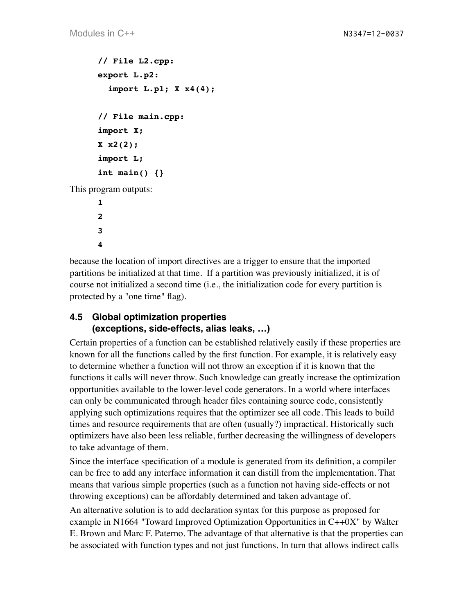```
// File L2.cpp:
      export L.p2:
         import L.p1; X x4(4);
      // File main.cpp:
      import X;
      X x2(2);
      import L;
      int main() {}
This program outputs:
      1
```
**2 3 4**

because the location of import directives are a trigger to ensure that the imported partitions be initialized at that time. If a partition was previously initialized, it is of course not initialized a second time (i.e., the initialization code for every partition is protected by a "one time" flag).

### **4.5 Global optimization properties (exceptions, side-effects, alias leaks, …)**

Certain properties of a function can be established relatively easily if these properties are known for all the functions called by the first function. For example, it is relatively easy to determine whether a function will not throw an exception if it is known that the functions it calls will never throw. Such knowledge can greatly increase the optimization opportunities available to the lower-level code generators. In a world where interfaces can only be communicated through header files containing source code, consistently applying such optimizations requires that the optimizer see all code. This leads to build times and resource requirements that are often (usually?) impractical. Historically such optimizers have also been less reliable, further decreasing the willingness of developers to take advantage of them.

Since the interface specification of a module is generated from its definition, a compiler can be free to add any interface information it can distill from the implementation. That means that various simple properties (such as a function not having side-effects or not throwing exceptions) can be affordably determined and taken advantage of.

An alternative solution is to add declaration syntax for this purpose as proposed for example in N1664 "Toward Improved Optimization Opportunities in C++0X" by Walter E. Brown and Marc F. Paterno. The advantage of that alternative is that the properties can be associated with function types and not just functions. In turn that allows indirect calls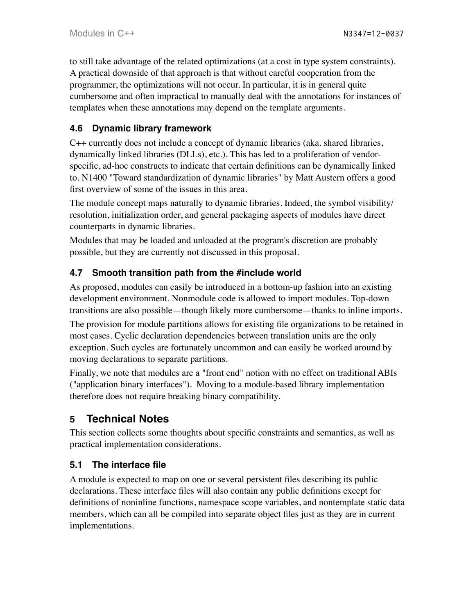to still take advantage of the related optimizations (at a cost in type system constraints). A practical downside of that approach is that without careful cooperation from the programmer, the optimizations will not occur. In particular, it is in general quite cumbersome and often impractical to manually deal with the annotations for instances of templates when these annotations may depend on the template arguments.

# **4.6 Dynamic library framework**

C++ currently does not include a concept of dynamic libraries (aka. shared libraries, dynamically linked libraries (DLLs), etc.). This has led to a proliferation of vendorspecific, ad-hoc constructs to indicate that certain definitions can be dynamically linked to. N1400 "Toward standardization of dynamic libraries" by Matt Austern offers a good first overview of some of the issues in this area.

The module concept maps naturally to dynamic libraries. Indeed, the symbol visibility/ resolution, initialization order, and general packaging aspects of modules have direct counterparts in dynamic libraries.

Modules that may be loaded and unloaded at the program's discretion are probably possible, but they are currently not discussed in this proposal.

# **4.7 Smooth transition path from the #include world**

As proposed, modules can easily be introduced in a bottom-up fashion into an existing development environment. Nonmodule code is allowed to import modules. Top-down transitions are also possible—though likely more cumbersome—thanks to inline imports.

The provision for module partitions allows for existing file organizations to be retained in most cases. Cyclic declaration dependencies between translation units are the only exception. Such cycles are fortunately uncommon and can easily be worked around by moving declarations to separate partitions.

Finally, we note that modules are a "front end" notion with no effect on traditional ABIs ("application binary interfaces"). Moving to a module-based library implementation therefore does not require breaking binary compatibility.

# <span id="page-13-0"></span>**5 Technical Notes**

This section collects some thoughts about specific constraints and semantics, as well as practical implementation considerations.

# **5.1 The interface file**

A module is expected to map on one or several persistent files describing its public declarations. These interface files will also contain any public definitions except for definitions of noninline functions, namespace scope variables, and nontemplate static data members, which can all be compiled into separate object files just as they are in current implementations.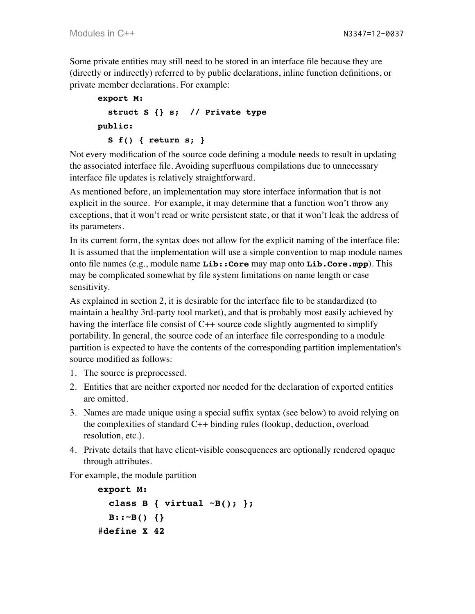Some private entities may still need to be stored in an interface file because they are (directly or indirectly) referred to by public declarations, inline function definitions, or private member declarations. For example:

```
export M:
   struct S {} s; // Private type
public:
   S f() { return s; }
```
Not every modification of the source code defining a module needs to result in updating the associated interface file. Avoiding superfluous compilations due to unnecessary interface file updates is relatively straightforward.

As mentioned before, an implementation may store interface information that is not explicit in the source. For example, it may determine that a function won't throw any exceptions, that it won't read or write persistent state, or that it won't leak the address of its parameters.

In its current form, the syntax does not allow for the explicit naming of the interface file: It is assumed that the implementation will use a simple convention to map module names onto file names (e.g., module name **Lib::Core** may map onto **Lib.Core.mpp**). This may be complicated somewhat by file system limitations on name length or case sensitivity.

As explained in section 2, it is desirable for the interface file to be standardized (to maintain a healthy 3rd-party tool market), and that is probably most easily achieved by having the interface file consist of C++ source code slightly augmented to simplify portability. In general, the source code of an interface file corresponding to a module partition is expected to have the contents of the corresponding partition implementation's source modified as follows:

- 1. The source is preprocessed.
- 2. Entities that are neither exported nor needed for the declaration of exported entities are omitted.
- 3. Names are made unique using a special suffix syntax (see below) to avoid relying on the complexities of standard C++ binding rules (lookup, deduction, overload resolution, etc.).
- 4. Private details that have client-visible consequences are optionally rendered opaque through attributes.

For example, the module partition

```
export M:
   class B { virtual ~B(); };
   B::~B() {}
#define X 42
```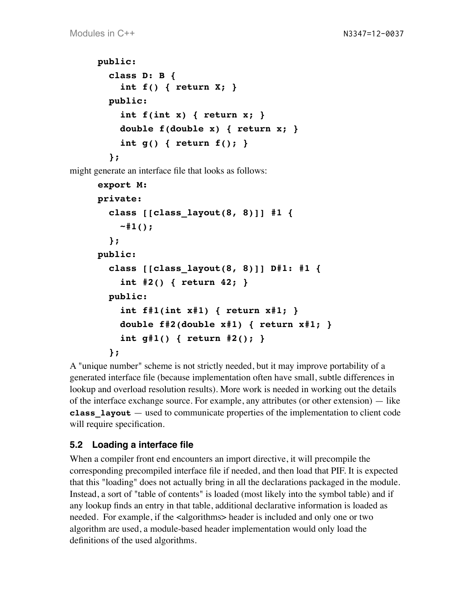```
public:
   class D: B {
     int f() { return X; }
   public:
     int f(int x) { return x; }
     double f(double x) { return x; }
     int g() { return f(); }
   };
```
might generate an interface file that looks as follows:

```
export M:
private:
   class [[class_layout(8, 8)]] #1 {
     ~#1();
   };
public:
   class [[class_layout(8, 8)]] D#1: #1 {
     int #2() { return 42; }
   public:
     int f#1(int x#1) { return x#1; }
     double f#2(double x#1) { return x#1; }
     int g#1() { return #2(); }
   };
```
A "unique number" scheme is not strictly needed, but it may improve portability of a generated interface file (because implementation often have small, subtle differences in lookup and overload resolution results). More work is needed in working out the details of the interface exchange source. For example, any attributes (or other extension) — like **class\_layout** — used to communicate properties of the implementation to client code will require specification.

### **5.2 Loading a interface file**

When a compiler front end encounters an import directive, it will precompile the corresponding precompiled interface file if needed, and then load that PIF. It is expected that this "loading" does not actually bring in all the declarations packaged in the module. Instead, a sort of "table of contents" is loaded (most likely into the symbol table) and if any lookup finds an entry in that table, additional declarative information is loaded as needed. For example, if the <algorithms> header is included and only one or two algorithm are used, a module-based header implementation would only load the definitions of the used algorithms.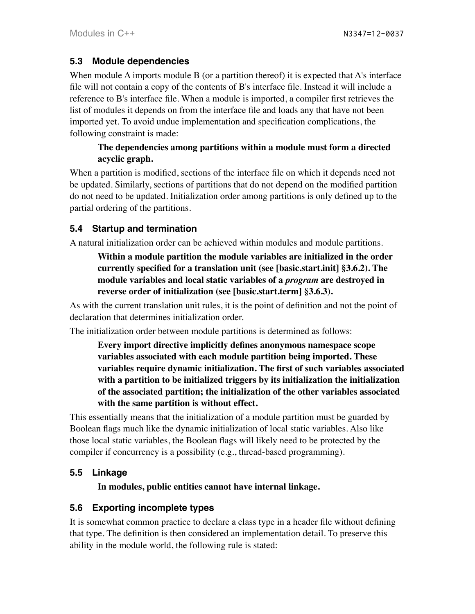### **5.3 Module dependencies**

When module A imports module B (or a partition thereof) it is expected that A's interface file will not contain a copy of the contents of B's interface file. Instead it will include a reference to B's interface file. When a module is imported, a compiler first retrieves the list of modules it depends on from the interface file and loads any that have not been imported yet. To avoid undue implementation and specification complications, the following constraint is made:

#### **The dependencies among partitions within a module must form a directed acyclic graph.**

When a partition is modified, sections of the interface file on which it depends need not be updated. Similarly, sections of partitions that do not depend on the modified partition do not need to be updated. Initialization order among partitions is only defined up to the partial ordering of the partitions.

### **5.4 Startup and termination**

A natural initialization order can be achieved within modules and module partitions.

### **Within a module partition the module variables are initialized in the order currently specified for a translation unit (see [basic.start.init] §3.6.2). The module variables and local static variables of a** *program* **are destroyed in reverse order of initialization (see [basic.start.term] §3.6.3).**

As with the current translation unit rules, it is the point of definition and not the point of declaration that determines initialization order.

The initialization order between module partitions is determined as follows:

**Every import directive implicitly defines anonymous namespace scope variables associated with each module partition being imported. These variables require dynamic initialization. The first of such variables associated with a partition to be initialized triggers by its initialization the initialization of the associated partition; the initialization of the other variables associated with the same partition is without effect.**

This essentially means that the initialization of a module partition must be guarded by Boolean flags much like the dynamic initialization of local static variables. Also like those local static variables, the Boolean flags will likely need to be protected by the compiler if concurrency is a possibility (e.g., thread-based programming).

# **5.5 Linkage**

**In modules, public entities cannot have internal linkage.**

# **5.6 Exporting incomplete types**

It is somewhat common practice to declare a class type in a header file without defining that type. The definition is then considered an implementation detail. To preserve this ability in the module world, the following rule is stated: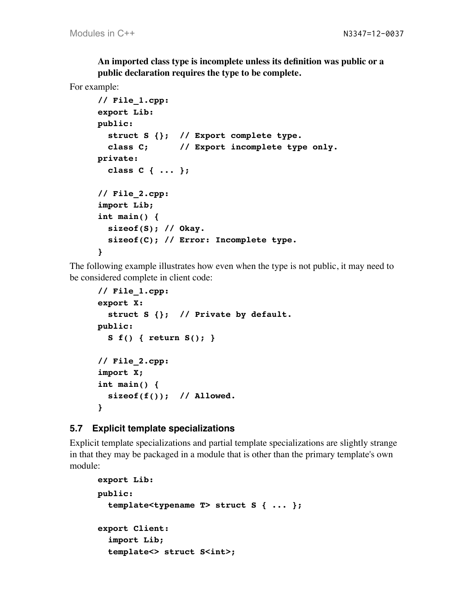**An imported class type is incomplete unless its definition was public or a public declaration requires the type to be complete.**

#### For example:

```
// File_1.cpp:
export Lib:
public:
   struct S {}; // Export complete type.
  class C; // Export incomplete type only.
private:
  class C { ... };
// File_2.cpp:
import Lib;
int main() {
  sizeof(S); // Okay.
   sizeof(C); // Error: Incomplete type.
}
```
The following example illustrates how even when the type is not public, it may need to be considered complete in client code:

```
// File_1.cpp:
export X:
   struct S {}; // Private by default.
public:
   S f() { return S(); }
// File_2.cpp:
import X;
int main() {
   sizeof(f()); // Allowed.
}
```
#### **5.7 Explicit template specializations**

Explicit template specializations and partial template specializations are slightly strange in that they may be packaged in a module that is other than the primary template's own module:

```
export Lib:
public:
   template<typename T> struct S { ... };
export Client:
   import Lib;
   template<> struct S<int>;
```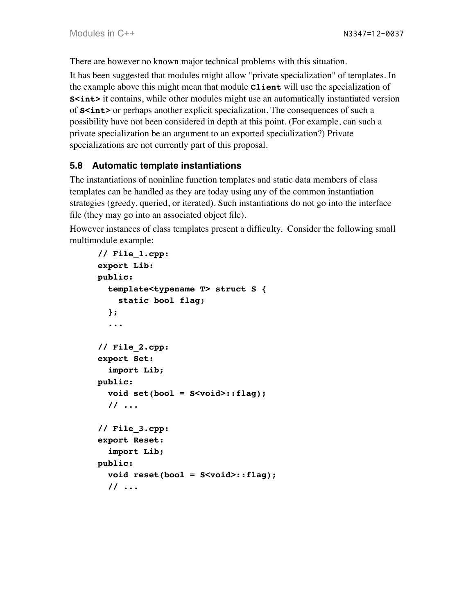There are however no known major technical problems with this situation.

It has been suggested that modules might allow "private specialization" of templates. In the example above this might mean that module **Client** will use the specialization of **S<int>** it contains, while other modules might use an automatically instantiated version of **S<int>** or perhaps another explicit specialization. The consequences of such a possibility have not been considered in depth at this point. (For example, can such a private specialization be an argument to an exported specialization?) Private specializations are not currently part of this proposal.

### **5.8 Automatic template instantiations**

The instantiations of noninline function templates and static data members of class templates can be handled as they are today using any of the common instantiation strategies (greedy, queried, or iterated). Such instantiations do not go into the interface file (they may go into an associated object file).

However instances of class templates present a difficulty. Consider the following small multimodule example:

```
// File_1.cpp:
export Lib:
public:
   template<typename T> struct S {
     static bool flag;
   };
   ...
// File_2.cpp:
export Set:
   import Lib;
public:
   void set(bool = S<void>::flag);
   // ...
// File_3.cpp:
export Reset:
   import Lib;
public:
   void reset(bool = S<void>::flag);
   // ...
```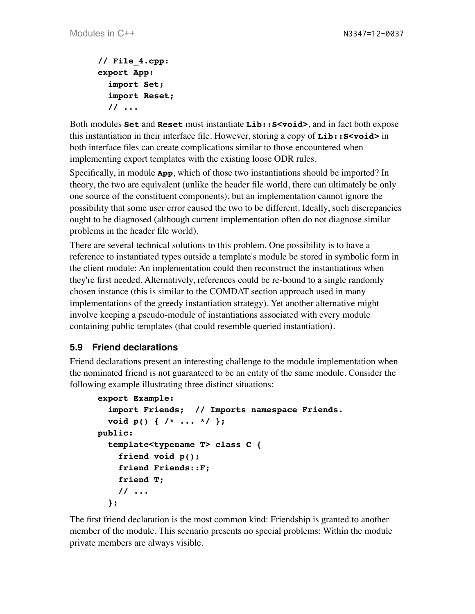```
// File_4.cpp:
export App:
   import Set;
   import Reset;
   // ...
```
Both modules **Set** and **Reset** must instantiate **Lib::S<void>**, and in fact both expose this instantiation in their interface file. However, storing a copy of **Lib::S<void>** in both interface files can create complications similar to those encountered when implementing export templates with the existing loose ODR rules.

Specifically, in module **App**, which of those two instantiations should be imported? In theory, the two are equivalent (unlike the header file world, there can ultimately be only one source of the constituent components), but an implementation cannot ignore the possibility that some user error caused the two to be different. Ideally, such discrepancies ought to be diagnosed (although current implementation often do not diagnose similar problems in the header file world).

There are several technical solutions to this problem. One possibility is to have a reference to instantiated types outside a template's module be stored in symbolic form in the client module: An implementation could then reconstruct the instantiations when they're first needed. Alternatively, references could be re-bound to a single randomly chosen instance (this is similar to the COMDAT section approach used in many implementations of the greedy instantiation strategy). Yet another alternative might involve keeping a pseudo-module of instantiations associated with every module containing public templates (that could resemble queried instantiation).

# **5.9 Friend declarations**

Friend declarations present an interesting challenge to the module implementation when the nominated friend is not guaranteed to be an entity of the same module. Consider the following example illustrating three distinct situations:

```
export Example:
   import Friends; // Imports namespace Friends.
   void p() { /* ... */ };
public:
   template<typename T> class C {
     friend void p();
     friend Friends::F;
     friend T;
     // ...
   };
```
The first friend declaration is the most common kind: Friendship is granted to another member of the module. This scenario presents no special problems: Within the module private members are always visible.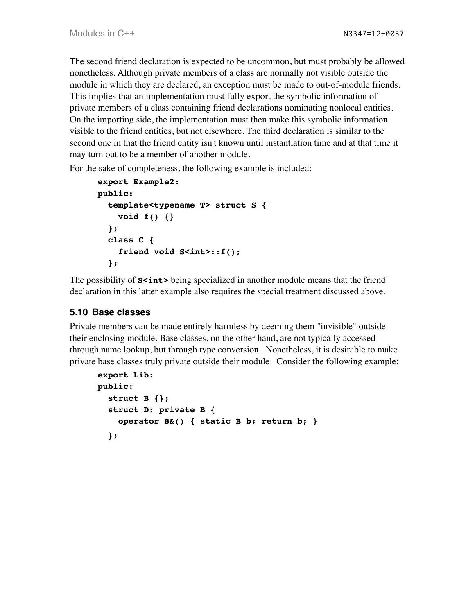The second friend declaration is expected to be uncommon, but must probably be allowed nonetheless. Although private members of a class are normally not visible outside the module in which they are declared, an exception must be made to out-of-module friends. This implies that an implementation must fully export the symbolic information of private members of a class containing friend declarations nominating nonlocal entities. On the importing side, the implementation must then make this symbolic information visible to the friend entities, but not elsewhere. The third declaration is similar to the second one in that the friend entity isn't known until instantiation time and at that time it may turn out to be a member of another module.

For the sake of completeness, the following example is included:

```
export Example2:
public:
   template<typename T> struct S {
     void f() {}
   };
   class C {
     friend void S<int>::f();
   };
```
The possibility of **S<int>** being specialized in another module means that the friend declaration in this latter example also requires the special treatment discussed above.

### **5.10 Base classes**

Private members can be made entirely harmless by deeming them "invisible" outside their enclosing module. Base classes, on the other hand, are not typically accessed through name lookup, but through type conversion. Nonetheless, it is desirable to make private base classes truly private outside their module. Consider the following example:

```
export Lib:
public:
   struct B {};
   struct D: private B {
     operator B&() { static B b; return b; }
   };
```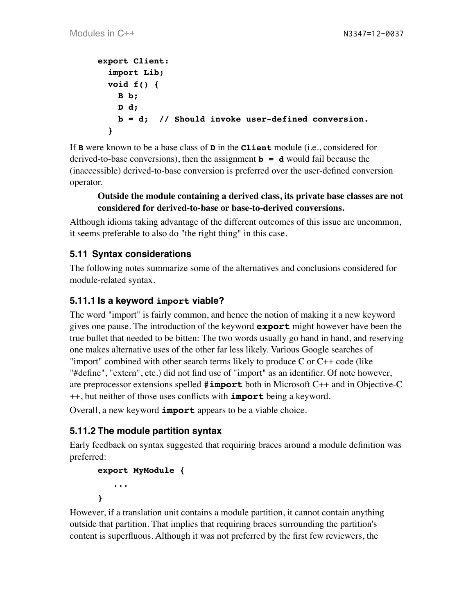```
export Client:
   import Lib;
   void f() {
     B b;
     D d;
     b = d; // Should invoke user-defined conversion.
   }
```
If **B** were known to be a base class of **D** in the **Client** module (i.e., considered for derived-to-base conversions), then the assignment **b = d** would fail because the (inaccessible) derived-to-base conversion is preferred over the user-defined conversion operator.

#### **Outside the module containing a derived class, its private base classes are not considered for derived-to-base or base-to-derived conversions.**

Although idioms taking advantage of the different outcomes of this issue are uncommon, it seems preferable to also do "the right thing" in this case.

### **5.11 Syntax considerations**

The following notes summarize some of the alternatives and conclusions considered for module-related syntax.

#### **5.11.1 Is a keyword import viable?**

The word "import" is fairly common, and hence the notion of making it a new keyword gives one pause. The introduction of the keyword **export** might however have been the true bullet that needed to be bitten: The two words usually go hand in hand, and reserving one makes alternative uses of the other far less likely. Various Google searches of "import" combined with other search terms likely to produce C or C++ code (like "#define", "extern", etc.) did not find use of "import" as an identifier. Of note however, are preprocessor extensions spelled **#import** both in Microsoft C++ and in Objective-C ++, but neither of those uses conflicts with **import** being a keyword.

Overall, a new keyword **import** appears to be a viable choice.

### **5.11.2 The module partition syntax**

Early feedback on syntax suggested that requiring braces around a module definition was preferred:

```
export MyModule {
    ...
}
```
However, if a translation unit contains a module partition, it cannot contain anything outside that partition. That implies that requiring braces surrounding the partition's content is superfluous. Although it was not preferred by the first few reviewers, the